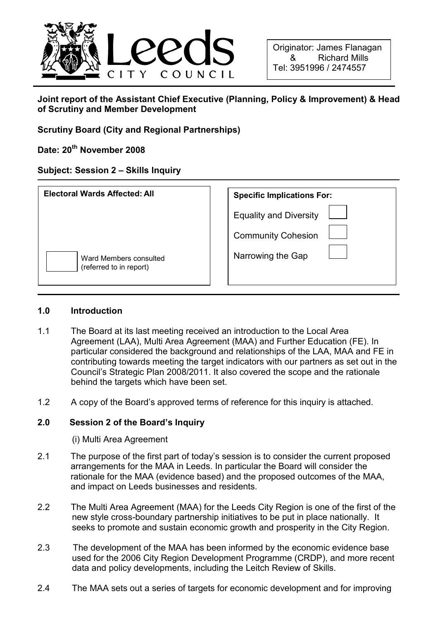

# Joint report of the Assistant Chief Executive (Planning, Policy & Improvement) & Head of Scrutiny and Member Development

Scrutiny Board (City and Regional Partnerships)

Date: 20<sup>th</sup> November 2008

# Subject: Session 2 – Skills Inquiry

| <b>Electoral Wards Affected: All</b>              | <b>Specific Implications For:</b>                          |  |
|---------------------------------------------------|------------------------------------------------------------|--|
|                                                   | <b>Equality and Diversity</b><br><b>Community Cohesion</b> |  |
| Ward Members consulted<br>(referred to in report) | Narrowing the Gap                                          |  |

#### 1.0 Introduction

- 1.1 The Board at its last meeting received an introduction to the Local Area Agreement (LAA), Multi Area Agreement (MAA) and Further Education (FE). In particular considered the background and relationships of the LAA, MAA and FE in contributing towards meeting the target indicators with our partners as set out in the Council's Strategic Plan 2008/2011. It also covered the scope and the rationale behind the targets which have been set.
- 1.2 A copy of the Board's approved terms of reference for this inquiry is attached.

# 2.0 Session 2 of the Board's Inquiry

(i) Multi Area Agreement

- 2.1 The purpose of the first part of today's session is to consider the current proposed arrangements for the MAA in Leeds. In particular the Board will consider the rationale for the MAA (evidence based) and the proposed outcomes of the MAA, and impact on Leeds businesses and residents.
- 2.2 The Multi Area Agreement (MAA) for the Leeds City Region is one of the first of the new style cross-boundary partnership initiatives to be put in place nationally. It seeks to promote and sustain economic growth and prosperity in the City Region.
- 2.3 The development of the MAA has been informed by the economic evidence base used for the 2006 City Region Development Programme (CRDP), and more recent data and policy developments, including the Leitch Review of Skills.
- 2.4 The MAA sets out a series of targets for economic development and for improving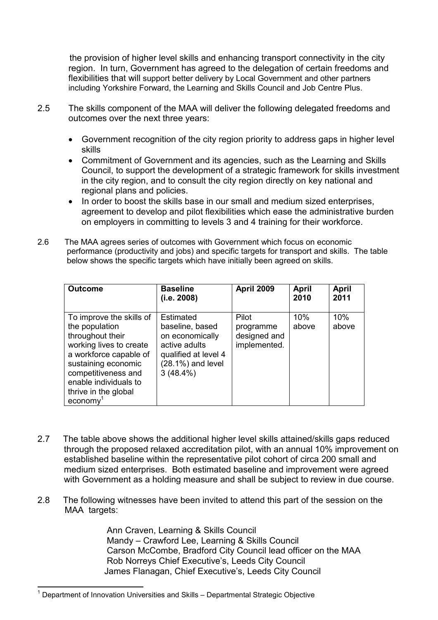the provision of higher level skills and enhancing transport connectivity in the city region. In turn, Government has agreed to the delegation of certain freedoms and flexibilities that will support better delivery by Local Government and other partners including Yorkshire Forward, the Learning and Skills Council and Job Centre Plus.

- 2.5 The skills component of the MAA will deliver the following delegated freedoms and outcomes over the next three years:
	- Government recognition of the city region priority to address gaps in higher level skills
	- Commitment of Government and its agencies, such as the Learning and Skills Council, to support the development of a strategic framework for skills investment in the city region, and to consult the city region directly on key national and regional plans and policies.
	- In order to boost the skills base in our small and medium sized enterprises, agreement to develop and pilot flexibilities which ease the administrative burden on employers in committing to levels 3 and 4 training for their workforce.
- 2.6 The MAA agrees series of outcomes with Government which focus on economic performance (productivity and jobs) and specific targets for transport and skills. The table below shows the specific targets which have initially been agreed on skills.

| <b>Outcome</b>                                                                                                                                                                                                                | <b>Baseline</b><br>(i.e. 2008)                                                                                                         | <b>April 2009</b>                                  | April<br>2010 | <b>April</b><br>2011 |
|-------------------------------------------------------------------------------------------------------------------------------------------------------------------------------------------------------------------------------|----------------------------------------------------------------------------------------------------------------------------------------|----------------------------------------------------|---------------|----------------------|
| To improve the skills of<br>the population<br>throughout their<br>working lives to create<br>a workforce capable of<br>sustaining economic<br>competitiveness and<br>enable individuals to<br>thrive in the global<br>economy | <b>Estimated</b><br>baseline, based<br>on economically<br>active adults<br>qualified at level 4<br>$(28.1\%)$ and level<br>$3(48.4\%)$ | Pilot<br>programme<br>designed and<br>implemented. | 10%<br>above  | 10%<br>above         |

- 2.7 The table above shows the additional higher level skills attained/skills gaps reduced through the proposed relaxed accreditation pilot, with an annual 10% improvement on established baseline within the representative pilot cohort of circa 200 small and medium sized enterprises. Both estimated baseline and improvement were agreed with Government as a holding measure and shall be subject to review in due course.
- 2.8 The following witnesses have been invited to attend this part of the session on the MAA targets:

 Ann Craven, Learning & Skills Council Mandy – Crawford Lee, Learning & Skills Council Carson McCombe, Bradford City Council lead officer on the MAA Rob Norreys Chief Executive's, Leeds City Council James Flanagan, Chief Executive's, Leeds City Council

 $\overline{a}$ 1 Department of Innovation Universities and Skills – Departmental Strategic Objective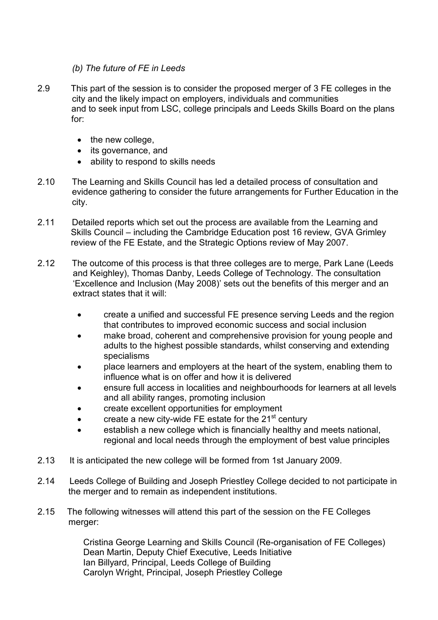#### (b) The future of FE in Leeds

- 2.9 This part of the session is to consider the proposed merger of 3 FE colleges in the city and the likely impact on employers, individuals and communities and to seek input from LSC, college principals and Leeds Skills Board on the plans for:
	- the new college,
	- its governance, and
	- ability to respond to skills needs
- 2.10 The Learning and Skills Council has led a detailed process of consultation and evidence gathering to consider the future arrangements for Further Education in the city.
- 2.11 Detailed reports which set out the process are available from the Learning and Skills Council – including the Cambridge Education post 16 review, GVA Grimley review of the FE Estate, and the Strategic Options review of May 2007.
- 2.12 The outcome of this process is that three colleges are to merge, Park Lane (Leeds and Keighley), Thomas Danby, Leeds College of Technology. The consultation 'Excellence and Inclusion (May 2008)' sets out the benefits of this merger and an extract states that it will:
	- create a unified and successful FE presence serving Leeds and the region that contributes to improved economic success and social inclusion
	- make broad, coherent and comprehensive provision for young people and adults to the highest possible standards, whilst conserving and extending specialisms
	- place learners and employers at the heart of the system, enabling them to influence what is on offer and how it is delivered
	- ensure full access in localities and neighbourhoods for learners at all levels and all ability ranges, promoting inclusion
	- create excellent opportunities for employment
	- create a new city-wide FE estate for the  $21<sup>st</sup>$  century
	- establish a new college which is financially healthy and meets national, regional and local needs through the employment of best value principles
- 2.13 It is anticipated the new college will be formed from 1st January 2009.
- 2.14 Leeds College of Building and Joseph Priestley College decided to not participate in the merger and to remain as independent institutions.
- 2.15 The following witnesses will attend this part of the session on the FE Colleges merger:

 Cristina George Learning and Skills Council (Re-organisation of FE Colleges) Dean Martin, Deputy Chief Executive, Leeds Initiative Ian Billyard, Principal, Leeds College of Building Carolyn Wright, Principal, Joseph Priestley College